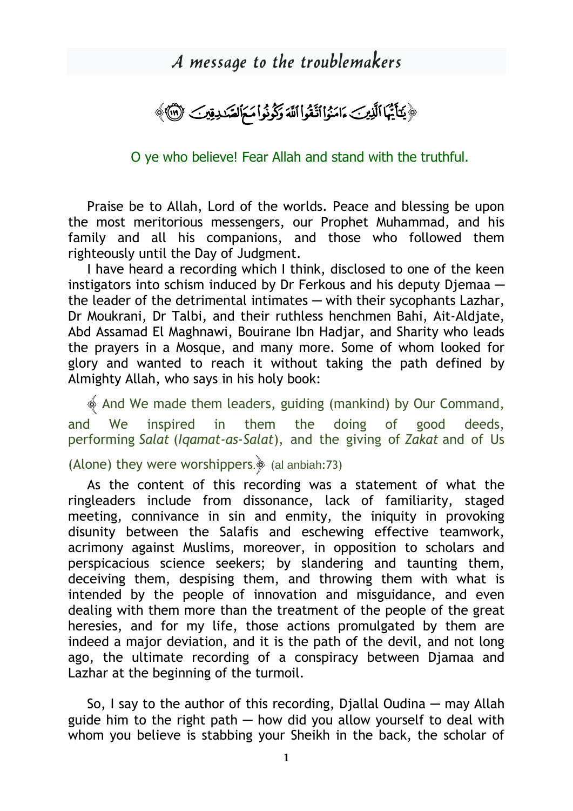## A message to the troublemakers

﴿ يَكَأَيُّهَا الَّذِينَ ءَامَنُوا اَتَّقُواْ اَللَّهَ وَكُونُواْ مَمَ الصَّدِيِّينَ ﴿ ٱلْلَّهَ ﴾

O ye who believe! Fear Allah and stand with the truthful.

Praise be to Allah, Lord of the worlds. Peace and blessing be upon the most meritorious messengers, our Prophet Muhammad, and his family and all his companions, and those who followed them righteously until the Day of Judgment.

I have heard a recording which I think, disclosed to one of the keen instigators into schism induced by Dr Ferkous and his deputy Diemaa the leader of the detrimental intimates — with their sycophants Lazhar, Dr Moukrani, Dr Talbi, and their ruthless henchmen Bahi, Ait-Aldjate, Abd Assamad El Maghnawi, Bouirane Ibn Hadjar, and Sharity who leads the prayers in a Mosque, and many more. Some of whom looked for glory and wanted to reach it without taking the path defined by Almighty Allah, who says in his holy book:

 $\&$  And We made them leaders, guiding (mankind) by Our Command, and We inspired in them the doing of good deeds, performing *Salat* (*Iqamat-as-Salat*), and the giving of *Zakat* and of Us

## (Alone) they were worshippers. $\frac{1}{2}$  (al anbiah:73)

As the content of this recording was a statement of what the ringleaders include from dissonance, lack of familiarity, staged meeting, connivance in sin and enmity, the iniquity in provoking disunity between the Salafis and eschewing effective teamwork, acrimony against Muslims, moreover, in opposition to scholars and perspicacious science seekers; by slandering and taunting them, deceiving them, despising them, and throwing them with what is intended by the people of innovation and misguidance, and even dealing with them more than the treatment of the people of the great heresies, and for my life, those actions promulgated by them are indeed a major deviation, and it is the path of the devil, and not long ago, the ultimate recording of a conspiracy between Djamaa and Lazhar at the beginning of the turmoil.

So, I say to the author of this recording, Diallal Oudina  $-$  may Allah guide him to the right path  $-$  how did you allow yourself to deal with whom you believe is stabbing your Sheikh in the back, the scholar of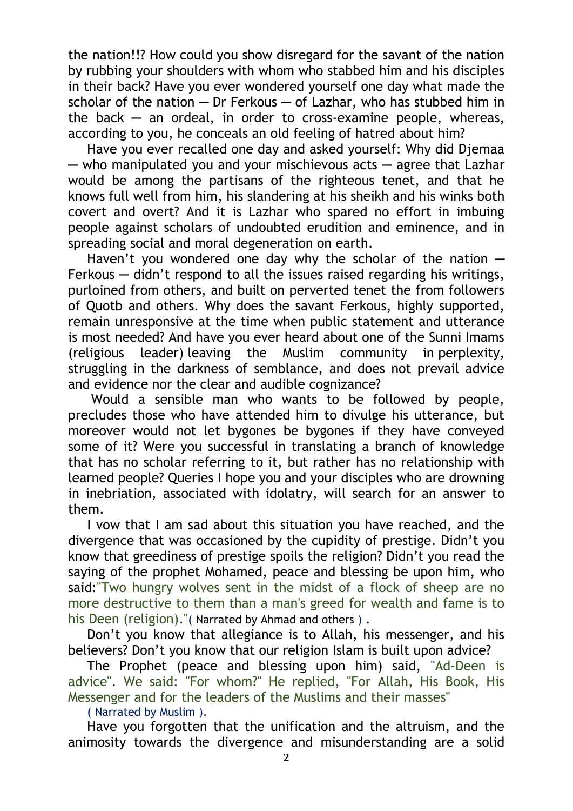the nation!!? How could you show disregard for the savant of the nation by rubbing your shoulders with whom who stabbed him and his disciples in their back? Have you ever wondered yourself one day what made the scholar of the nation  $-$  Dr Ferkous  $-$  of Lazhar, who has stubbed him in the back  $-$  an ordeal, in order to cross-examine people, whereas, according to you, he conceals an old feeling of hatred about him?

Have you ever recalled one day and asked yourself: Why did Djemaa ─ who manipulated you and your mischievous acts ─ agree that Lazhar would be among the partisans of the righteous tenet, and that he knows full well from him, his slandering at his sheikh and his winks both covert and overt? And it is Lazhar who spared no effort in imbuing people against scholars of undoubted erudition and eminence, and in spreading social and moral degeneration on earth.

Haven't you wondered one day why the scholar of the nation  $-$ Ferkous — didn't respond to all the issues raised regarding his writings, purloined from others, and built on perverted tenet the from followers of Quotb and others. Why does the savant Ferkous, highly supported, remain unresponsive at the time when public statement and utterance is most needed? And have you ever heard about one of the Sunni Imams (religious leader) leaving the Muslim community in perplexity, struggling in the darkness of semblance, and does not prevail advice and evidence nor the clear and audible cognizance?

Would a sensible man who wants to be followed by people, precludes those who have attended him to divulge his utterance, but moreover would not let bygones be bygones if they have conveyed some of it? Were you successful in translating a branch of knowledge that has no scholar referring to it, but rather has no relationship with learned people? Queries I hope you and your disciples who are drowning in inebriation, associated with idolatry, will search for an answer to them.

I vow that I am sad about this situation you have reached, and the divergence that was occasioned by the cupidity of prestige. Didn't you know that greediness of prestige spoils the religion? Didn't you read the saying of the prophet Mohamed, peace and blessing be upon him, who said:"Two hungry wolves sent in the midst of a flock of sheep are no more destructive to them than a man's greed for wealth and fame is to his Deen (religion)."( Narrated by Ahmad and others ) .

Don't you know that allegiance is to Allah, his messenger, and his believers? Don't you know that our religion Islam is built upon advice?

The Prophet (peace and blessing upon him) said, "Ad-Deen is advice". We said: "For whom?" He replied, "For Allah, His Book, His Messenger and for the leaders of the Muslims and their masses"

( Narrated by Muslim ).

Have you forgotten that the unification and the altruism, and the animosity towards the divergence and misunderstanding are a solid